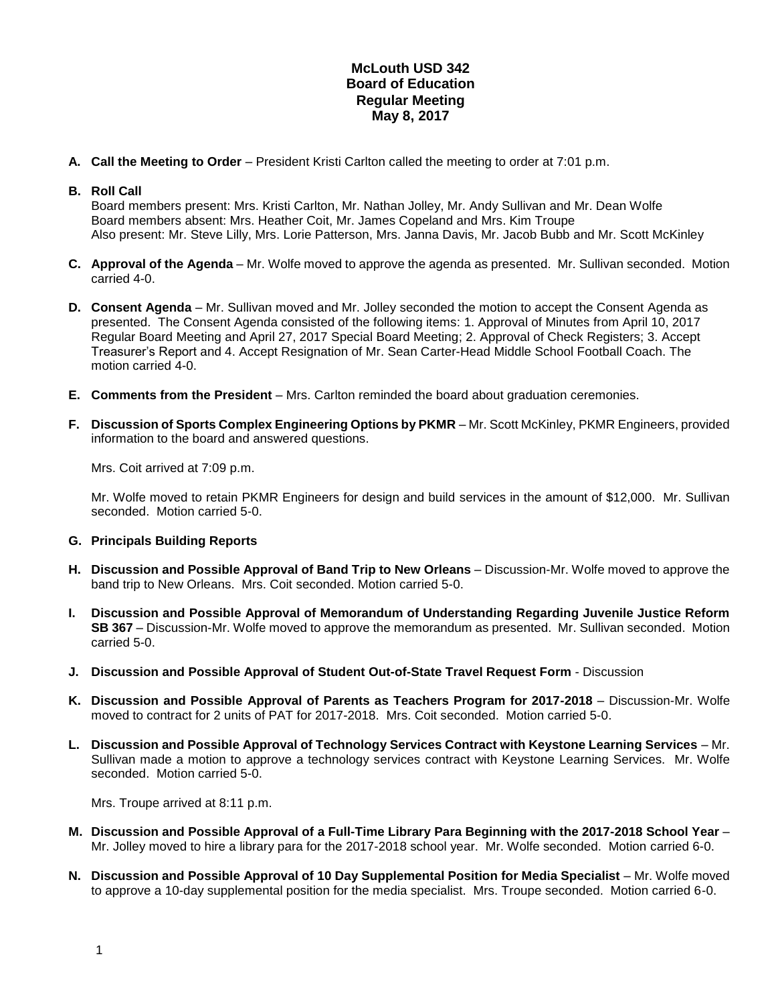## **McLouth USD 342 Board of Education Regular Meeting May 8, 2017**

**A. Call the Meeting to Order** – President Kristi Carlton called the meeting to order at 7:01 p.m.

## **B. Roll Call**

Board members present: Mrs. Kristi Carlton, Mr. Nathan Jolley, Mr. Andy Sullivan and Mr. Dean Wolfe Board members absent: Mrs. Heather Coit, Mr. James Copeland and Mrs. Kim Troupe Also present: Mr. Steve Lilly, Mrs. Lorie Patterson, Mrs. Janna Davis, Mr. Jacob Bubb and Mr. Scott McKinley

- **C. Approval of the Agenda** Mr. Wolfe moved to approve the agenda as presented. Mr. Sullivan seconded. Motion carried 4-0.
- **D. Consent Agenda** Mr. Sullivan moved and Mr. Jolley seconded the motion to accept the Consent Agenda as presented. The Consent Agenda consisted of the following items: 1. Approval of Minutes from April 10, 2017 Regular Board Meeting and April 27, 2017 Special Board Meeting; 2. Approval of Check Registers; 3. Accept Treasurer's Report and 4. Accept Resignation of Mr. Sean Carter-Head Middle School Football Coach. The motion carried 4-0.
- **E. Comments from the President** Mrs. Carlton reminded the board about graduation ceremonies.
- **F. Discussion of Sports Complex Engineering Options by PKMR**  Mr. Scott McKinley, PKMR Engineers, provided information to the board and answered questions.

Mrs. Coit arrived at 7:09 p.m.

Mr. Wolfe moved to retain PKMR Engineers for design and build services in the amount of \$12,000. Mr. Sullivan seconded. Motion carried 5-0.

## **G. Principals Building Reports**

- **H. Discussion and Possible Approval of Band Trip to New Orleans**  Discussion-Mr. Wolfe moved to approve the band trip to New Orleans. Mrs. Coit seconded. Motion carried 5-0.
- **I. Discussion and Possible Approval of Memorandum of Understanding Regarding Juvenile Justice Reform SB 367** – Discussion-Mr. Wolfe moved to approve the memorandum as presented. Mr. Sullivan seconded. Motion carried 5-0.
- **J. Discussion and Possible Approval of Student Out-of-State Travel Request Form** Discussion
- **K. Discussion and Possible Approval of Parents as Teachers Program for 2017-2018** Discussion-Mr. Wolfe moved to contract for 2 units of PAT for 2017-2018. Mrs. Coit seconded. Motion carried 5-0.
- **L. Discussion and Possible Approval of Technology Services Contract with Keystone Learning Services**  Mr. Sullivan made a motion to approve a technology services contract with Keystone Learning Services. Mr. Wolfe seconded. Motion carried 5-0.

Mrs. Troupe arrived at 8:11 p.m.

- **M. Discussion and Possible Approval of a Full-Time Library Para Beginning with the 2017-2018 School Year**  Mr. Jolley moved to hire a library para for the 2017-2018 school year. Mr. Wolfe seconded. Motion carried 6-0.
- **N. Discussion and Possible Approval of 10 Day Supplemental Position for Media Specialist** Mr. Wolfe moved to approve a 10-day supplemental position for the media specialist. Mrs. Troupe seconded. Motion carried 6-0.